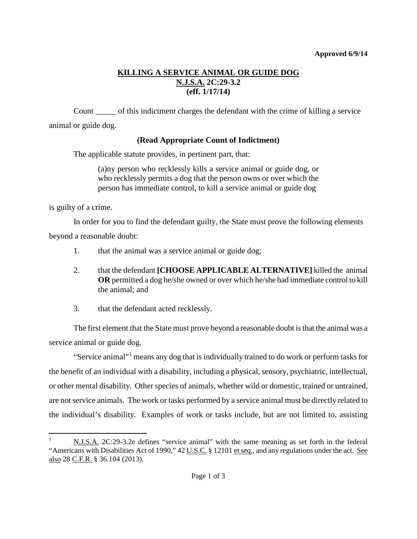## **KILLING A SERVICE ANIMAL OR GUIDE DOG N.J.S.A. 2C:29-3.2 (eff. 1/17/14)**

Count \_\_\_\_\_ of this indictment charges the defendant with the crime of killing a service animal or guide dog.

## **(Read Appropriate Count of Indictment)**

The applicable statute provides, in pertinent part, that:

(a)ny person who recklessly kills a service animal or guide dog, or who recklessly permits a dog that the person owns or over which the person has immediate control, to kill a service animal or guide dog

is guilty of a crime.

In order for you to find the defendant guilty, the State must prove the following elements beyond a reasonable doubt:

- 1. that the animal was a service animal or guide dog;
- 2. that the defendant **[CHOOSE APPLICABLE ALTERNATIVE]** killed the animal **OR** permitted a dog he/she owned or over which he/she had immediate control to kill the animal; and
- 3. that the defendant acted recklessly.

The first element that the State must prove beyond a reasonable doubt is that the animal was a service animal or guide dog.

"Service animal"<sup>[1](#page-0-0)</sup> means any dog that is individually trained to do work or perform tasks for the benefit of an individual with a disability, including a physical, sensory, psychiatric, intellectual, or other mental disability. Other species of animals, whether wild or domestic, trained or untrained, are not service animals. The work or tasks performed by a service animal must be directly related to the individual's disability. Examples of work or tasks include, but are not limited to, assisting

<span id="page-0-1"></span><span id="page-0-0"></span> <sup>1</sup> N.J.S.A. 2C:29-3.2e defines "service animal" with the same meaning as set forth in the federal "Americans with Disabilities Act of 1990," 42 U.S.C. § 12101 et seq., and any regulations under the act. See also 28 C.F.R. § 36.104 (2013).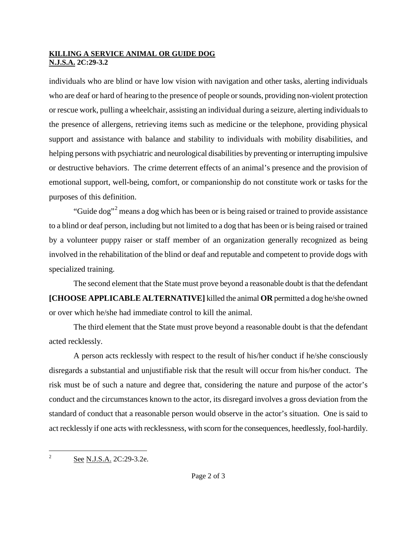## **KILLING A SERVICE ANIMAL OR GUIDE DOG N.J.S.A. 2C:29-3.2**

individuals who are blind or have low vision with navigation and other tasks, alerting individuals who are deaf or hard of hearing to the presence of people or sounds, providing non-violent protection or rescue work, pulling a wheelchair, assisting an individual during a seizure, alerting individuals to the presence of allergens, retrieving items such as medicine or the telephone, providing physical support and assistance with balance and stability to individuals with mobility disabilities, and helping persons with psychiatric and neurological disabilities by preventing or interrupting impulsive or destructive behaviors. The crime deterrent effects of an animal's presence and the provision of emotional support, well-being, comfort, or companionship do not constitute work or tasks for the purposes of this definition.

"Guide dog"<sup>[2](#page-0-1)</sup> means a dog which has been or is being raised or trained to provide assistance" to a blind or deaf person, including but not limited to a dog that has been or is being raised or trained by a volunteer puppy raiser or staff member of an organization generally recognized as being involved in the rehabilitation of the blind or deaf and reputable and competent to provide dogs with specialized training.

The second element that the State must prove beyond a reasonable doubt is that the defendant **[CHOOSE APPLICABLE ALTERNATIVE]** killed the animal **OR** permitted a dog he/she owned or over which he/she had immediate control to kill the animal.

The third element that the State must prove beyond a reasonable doubt is that the defendant acted recklessly.

A person acts recklessly with respect to the result of his/her conduct if he/she consciously disregards a substantial and unjustifiable risk that the result will occur from his/her conduct. The risk must be of such a nature and degree that, considering the nature and purpose of the actor's conduct and the circumstances known to the actor, its disregard involves a gross deviation from the standard of conduct that a reasonable person would observe in the actor's situation. One is said to act recklessly if one acts with recklessness, with scorn for the consequences, heedlessly, fool-hardily.

<sup>&</sup>lt;sup>2</sup> See N.J.S.A. 2C:29-3.2e.